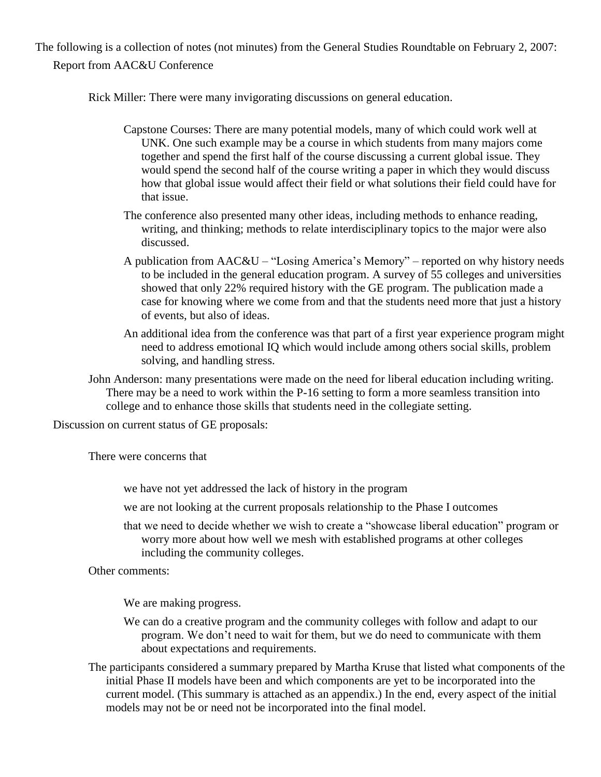The following is a collection of notes (not minutes) from the General Studies Roundtable on February 2, 2007: Report from AAC&U Conference

Rick Miller: There were many invigorating discussions on general education.

- Capstone Courses: There are many potential models, many of which could work well at UNK. One such example may be a course in which students from many majors come together and spend the first half of the course discussing a current global issue. They would spend the second half of the course writing a paper in which they would discuss how that global issue would affect their field or what solutions their field could have for that issue.
- The conference also presented many other ideas, including methods to enhance reading, writing, and thinking; methods to relate interdisciplinary topics to the major were also discussed.
- A publication from AAC&U "Losing America's Memory" reported on why history needs to be included in the general education program. A survey of 55 colleges and universities showed that only 22% required history with the GE program. The publication made a case for knowing where we come from and that the students need more that just a history of events, but also of ideas.
- An additional idea from the conference was that part of a first year experience program might need to address emotional IQ which would include among others social skills, problem solving, and handling stress.
- John Anderson: many presentations were made on the need for liberal education including writing. There may be a need to work within the P-16 setting to form a more seamless transition into college and to enhance those skills that students need in the collegiate setting.

Discussion on current status of GE proposals:

There were concerns that

we have not yet addressed the lack of history in the program

- we are not looking at the current proposals relationship to the Phase I outcomes
- that we need to decide whether we wish to create a "showcase liberal education" program or worry more about how well we mesh with established programs at other colleges including the community colleges.

Other comments:

We are making progress.

- We can do a creative program and the community colleges with follow and adapt to our program. We don't need to wait for them, but we do need to communicate with them about expectations and requirements.
- The participants considered a summary prepared by Martha Kruse that listed what components of the initial Phase II models have been and which components are yet to be incorporated into the current model. (This summary is attached as an appendix.) In the end, every aspect of the initial models may not be or need not be incorporated into the final model.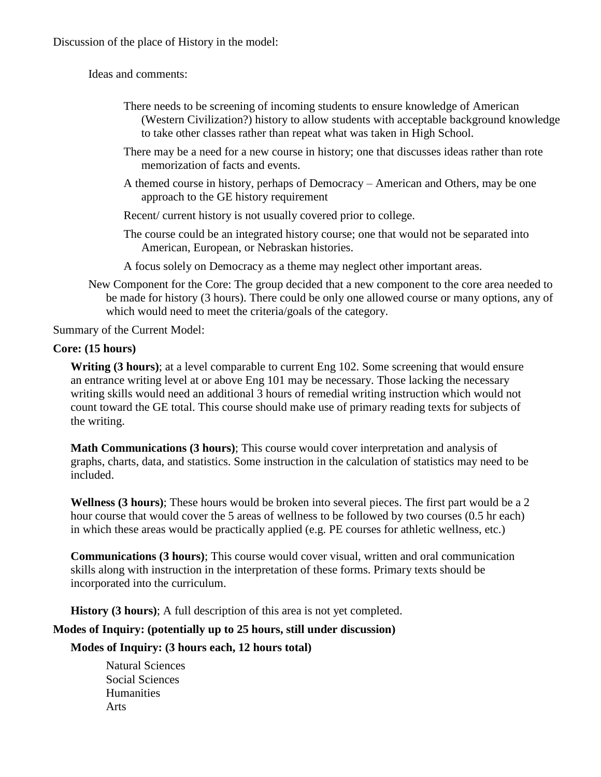Discussion of the place of History in the model:

Ideas and comments:

- There needs to be screening of incoming students to ensure knowledge of American (Western Civilization?) history to allow students with acceptable background knowledge to take other classes rather than repeat what was taken in High School.
- There may be a need for a new course in history; one that discusses ideas rather than rote memorization of facts and events.
- A themed course in history, perhaps of Democracy American and Others, may be one approach to the GE history requirement
- Recent/ current history is not usually covered prior to college.
- The course could be an integrated history course; one that would not be separated into American, European, or Nebraskan histories.
- A focus solely on Democracy as a theme may neglect other important areas.
- New Component for the Core: The group decided that a new component to the core area needed to be made for history (3 hours). There could be only one allowed course or many options, any of which would need to meet the criteria/goals of the category.

Summary of the Current Model:

### **Core: (15 hours)**

**Writing (3 hours)**; at a level comparable to current Eng 102. Some screening that would ensure an entrance writing level at or above Eng 101 may be necessary. Those lacking the necessary writing skills would need an additional 3 hours of remedial writing instruction which would not count toward the GE total. This course should make use of primary reading texts for subjects of the writing.

**Math Communications (3 hours)**; This course would cover interpretation and analysis of graphs, charts, data, and statistics. Some instruction in the calculation of statistics may need to be included.

**Wellness (3 hours)**; These hours would be broken into several pieces. The first part would be a 2 hour course that would cover the 5 areas of wellness to be followed by two courses (0.5 hr each) in which these areas would be practically applied (e.g. PE courses for athletic wellness, etc.)

**Communications (3 hours)**; This course would cover visual, written and oral communication skills along with instruction in the interpretation of these forms. Primary texts should be incorporated into the curriculum.

**History (3 hours)**; A full description of this area is not yet completed.

### **Modes of Inquiry: (potentially up to 25 hours, still under discussion)**

**Modes of Inquiry: (3 hours each, 12 hours total)**

Natural Sciences Social Sciences **Humanities** Arts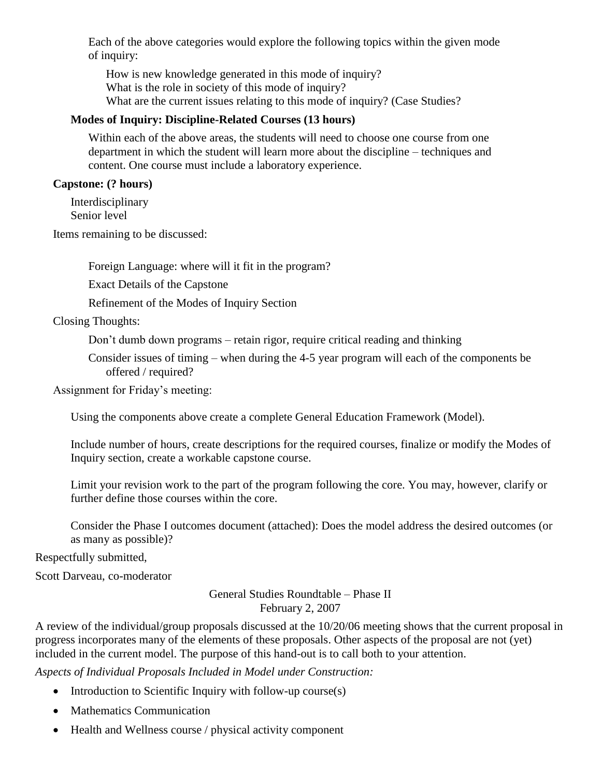Each of the above categories would explore the following topics within the given mode of inquiry:

How is new knowledge generated in this mode of inquiry? What is the role in society of this mode of inquiry? What are the current issues relating to this mode of inquiry? (Case Studies?

#### **Modes of Inquiry: Discipline-Related Courses (13 hours)**

Within each of the above areas, the students will need to choose one course from one department in which the student will learn more about the discipline – techniques and content. One course must include a laboratory experience.

#### **Capstone: (? hours)**

Interdisciplinary Senior level

Items remaining to be discussed:

Foreign Language: where will it fit in the program?

Exact Details of the Capstone

Refinement of the Modes of Inquiry Section

Closing Thoughts:

Don't dumb down programs – retain rigor, require critical reading and thinking

Consider issues of timing – when during the 4-5 year program will each of the components be offered / required?

Assignment for Friday's meeting:

Using the components above create a complete General Education Framework (Model).

Include number of hours, create descriptions for the required courses, finalize or modify the Modes of Inquiry section, create a workable capstone course.

Limit your revision work to the part of the program following the core. You may, however, clarify or further define those courses within the core.

Consider the Phase I outcomes document (attached): Does the model address the desired outcomes (or as many as possible)?

Respectfully submitted,

Scott Darveau, co-moderator

General Studies Roundtable – Phase II February 2, 2007

A review of the individual/group proposals discussed at the 10/20/06 meeting shows that the current proposal in progress incorporates many of the elements of these proposals. Other aspects of the proposal are not (yet) included in the current model. The purpose of this hand-out is to call both to your attention.

*Aspects of Individual Proposals Included in Model under Construction:*

- Introduction to Scientific Inquiry with follow-up course $(s)$
- Mathematics Communication
- Health and Wellness course / physical activity component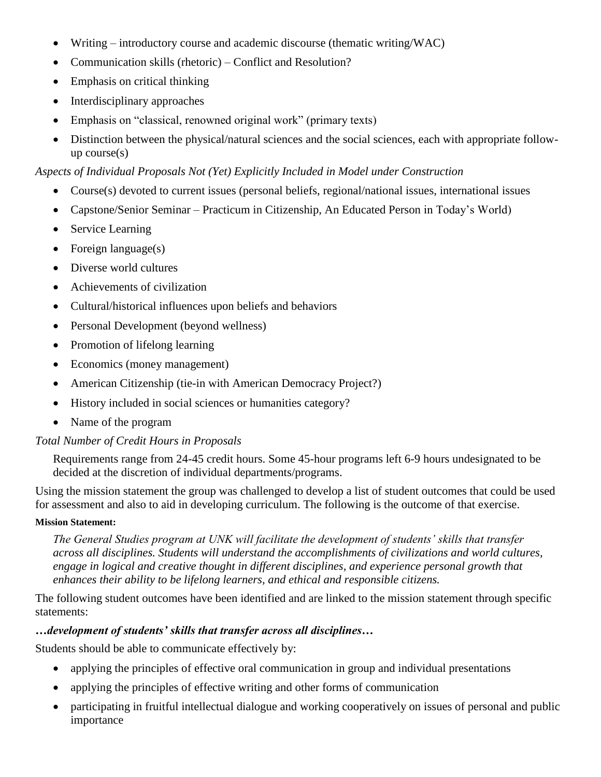- Writing introductory course and academic discourse (thematic writing/WAC)
- Communication skills (rhetoric) Conflict and Resolution?
- Emphasis on critical thinking
- Interdisciplinary approaches
- Emphasis on "classical, renowned original work" (primary texts)
- Distinction between the physical/natural sciences and the social sciences, each with appropriate followup course(s)

*Aspects of Individual Proposals Not (Yet) Explicitly Included in Model under Construction*

- Course(s) devoted to current issues (personal beliefs, regional/national issues, international issues
- Capstone/Senior Seminar Practicum in Citizenship, An Educated Person in Today's World)
- Service Learning
- Foreign language $(s)$
- Diverse world cultures
- Achievements of civilization
- Cultural/historical influences upon beliefs and behaviors
- Personal Development (beyond wellness)
- Promotion of lifelong learning
- Economics (money management)
- American Citizenship (tie-in with American Democracy Project?)
- History included in social sciences or humanities category?
- Name of the program

### *Total Number of Credit Hours in Proposals*

Requirements range from 24-45 credit hours. Some 45-hour programs left 6-9 hours undesignated to be decided at the discretion of individual departments/programs.

Using the mission statement the group was challenged to develop a list of student outcomes that could be used for assessment and also to aid in developing curriculum. The following is the outcome of that exercise.

#### **Mission Statement:**

*The General Studies program at UNK will facilitate the development of students' skills that transfer across all disciplines. Students will understand the accomplishments of civilizations and world cultures, engage in logical and creative thought in different disciplines, and experience personal growth that enhances their ability to be lifelong learners, and ethical and responsible citizens.*

The following student outcomes have been identified and are linked to the mission statement through specific statements:

### *…development of students' skills that transfer across all disciplines…*

Students should be able to communicate effectively by:

- applying the principles of effective oral communication in group and individual presentations
- applying the principles of effective writing and other forms of communication
- participating in fruitful intellectual dialogue and working cooperatively on issues of personal and public importance